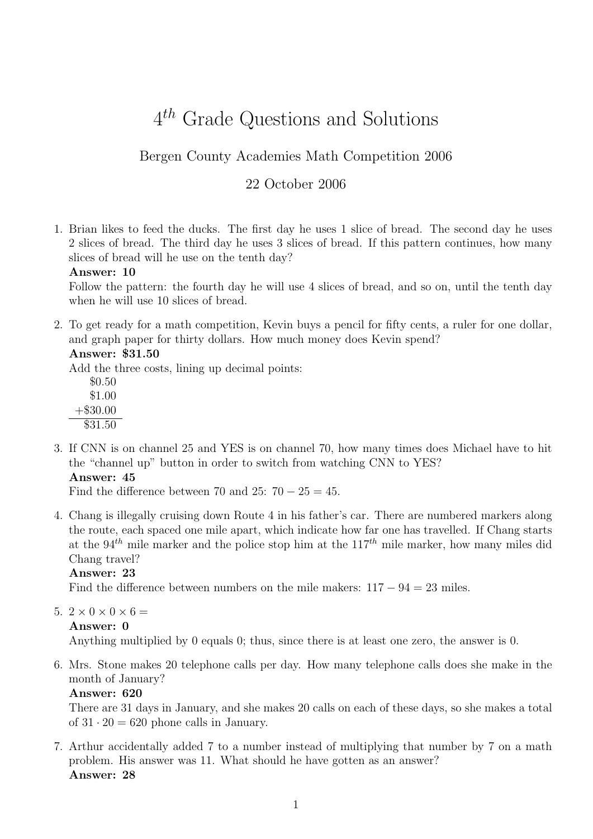# $4<sup>th</sup>$  Grade Questions and Solutions

# Bergen County Academies Math Competition 2006

# 22 October 2006

1. Brian likes to feed the ducks. The first day he uses 1 slice of bread. The second day he uses 2 slices of bread. The third day he uses 3 slices of bread. If this pattern continues, how many slices of bread will he use on the tenth day?

#### Answer: 10

Follow the pattern: the fourth day he will use 4 slices of bread, and so on, until the tenth day when he will use 10 slices of bread.

2. To get ready for a math competition, Kevin buys a pencil for fifty cents, a ruler for one dollar, and graph paper for thirty dollars. How much money does Kevin spend?

#### Answer: \$31.50

Add the three costs, lining up decimal points:

- \$0.50 \$1.00 +\$30.00 \$31.50
- 3. If CNN is on channel 25 and YES is on channel 70, how many times does Michael have to hit the "channel up" button in order to switch from watching CNN to YES? Answer: 45

Find the difference between 70 and 25:  $70 - 25 = 45$ .

4. Chang is illegally cruising down Route 4 in his father's car. There are numbered markers along the route, each spaced one mile apart, which indicate how far one has travelled. If Chang starts at the 94<sup>th</sup> mile marker and the police stop him at the  $117<sup>th</sup>$  mile marker, how many miles did Chang travel?

# Answer: 23

Find the difference between numbers on the mile makers:  $117 - 94 = 23$  miles.

- 5.  $2 \times 0 \times 0 \times 6 =$ 
	- Answer: 0

Anything multiplied by 0 equals 0; thus, since there is at least one zero, the answer is 0.

6. Mrs. Stone makes 20 telephone calls per day. How many telephone calls does she make in the month of January?

#### Answer: 620

There are 31 days in January, and she makes 20 calls on each of these days, so she makes a total of  $31 \cdot 20 = 620$  phone calls in January.

7. Arthur accidentally added 7 to a number instead of multiplying that number by 7 on a math problem. His answer was 11. What should he have gotten as an answer? Answer: 28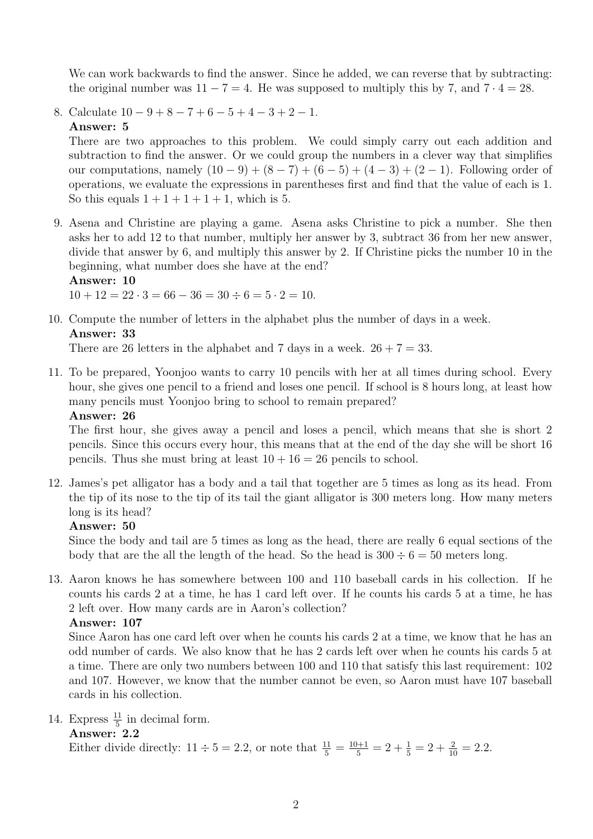We can work backwards to find the answer. Since he added, we can reverse that by subtracting: the original number was  $11 - 7 = 4$ . He was supposed to multiply this by 7, and  $7 \cdot 4 = 28$ .

8. Calculate  $10 - 9 + 8 - 7 + 6 - 5 + 4 - 3 + 2 - 1$ . Answer: 5

There are two approaches to this problem. We could simply carry out each addition and subtraction to find the answer. Or we could group the numbers in a clever way that simplifies our computations, namely  $(10 - 9) + (8 - 7) + (6 - 5) + (4 - 3) + (2 - 1)$ . Following order of operations, we evaluate the expressions in parentheses first and find that the value of each is 1. So this equals  $1+1+1+1+1$ , which is 5.

9. Asena and Christine are playing a game. Asena asks Christine to pick a number. She then asks her to add 12 to that number, multiply her answer by 3, subtract 36 from her new answer, divide that answer by 6, and multiply this answer by 2. If Christine picks the number 10 in the beginning, what number does she have at the end? Answer: 10

 $10 + 12 = 22 \cdot 3 = 66 - 36 = 30 \div 6 = 5 \cdot 2 = 10.$ 

10. Compute the number of letters in the alphabet plus the number of days in a week. Answer: 33

There are 26 letters in the alphabet and 7 days in a week.  $26 + 7 = 33$ .

11. To be prepared, Yoonjoo wants to carry 10 pencils with her at all times during school. Every hour, she gives one pencil to a friend and loses one pencil. If school is 8 hours long, at least how many pencils must Yoonjoo bring to school to remain prepared?

#### Answer: 26

The first hour, she gives away a pencil and loses a pencil, which means that she is short 2 pencils. Since this occurs every hour, this means that at the end of the day she will be short 16 pencils. Thus she must bring at least  $10 + 16 = 26$  pencils to school.

12. James's pet alligator has a body and a tail that together are 5 times as long as its head. From the tip of its nose to the tip of its tail the giant alligator is 300 meters long. How many meters long is its head?

#### Answer: 50

Since the body and tail are 5 times as long as the head, there are really 6 equal sections of the body that are the all the length of the head. So the head is  $300 \div 6 = 50$  meters long.

13. Aaron knows he has somewhere between 100 and 110 baseball cards in his collection. If he counts his cards 2 at a time, he has 1 card left over. If he counts his cards 5 at a time, he has 2 left over. How many cards are in Aaron's collection?

# Answer: 107

Since Aaron has one card left over when he counts his cards 2 at a time, we know that he has an odd number of cards. We also know that he has 2 cards left over when he counts his cards 5 at a time. There are only two numbers between 100 and 110 that satisfy this last requirement: 102 and 107. However, we know that the number cannot be even, so Aaron must have 107 baseball cards in his collection.

14. Express  $\frac{11}{5}$  in decimal form.

#### Answer: 2.2

Either divide directly:  $11 \div 5 = 2.2$ , or note that  $\frac{11}{5} = \frac{10+1}{5} = 2 + \frac{1}{5} = 2 + \frac{2}{10} = 2.2$ .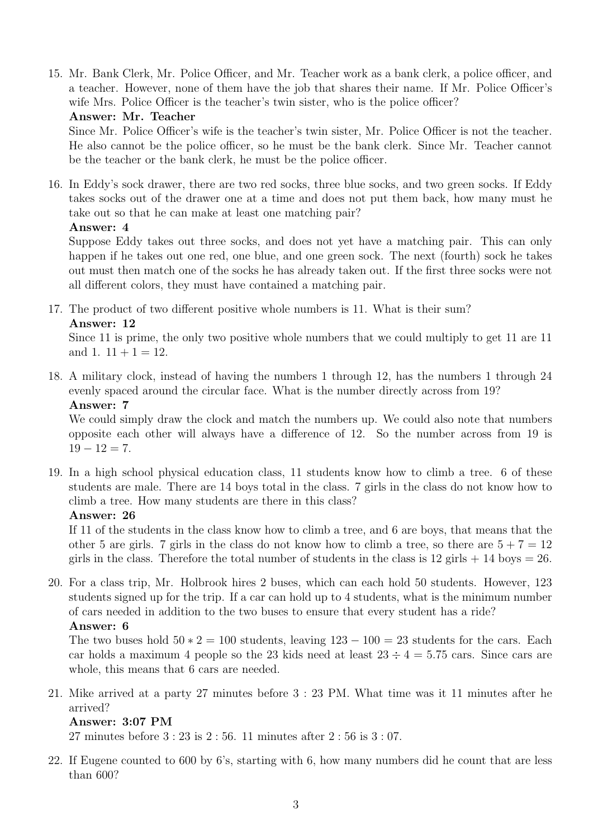15. Mr. Bank Clerk, Mr. Police Officer, and Mr. Teacher work as a bank clerk, a police officer, and a teacher. However, none of them have the job that shares their name. If Mr. Police Officer's wife Mrs. Police Officer is the teacher's twin sister, who is the police officer?

#### Answer: Mr. Teacher

Since Mr. Police Officer's wife is the teacher's twin sister, Mr. Police Officer is not the teacher. He also cannot be the police officer, so he must be the bank clerk. Since Mr. Teacher cannot be the teacher or the bank clerk, he must be the police officer.

16. In Eddy's sock drawer, there are two red socks, three blue socks, and two green socks. If Eddy takes socks out of the drawer one at a time and does not put them back, how many must he take out so that he can make at least one matching pair? Answer: 4

Suppose Eddy takes out three socks, and does not yet have a matching pair. This can only happen if he takes out one red, one blue, and one green sock. The next (fourth) sock he takes out must then match one of the socks he has already taken out. If the first three socks were not all different colors, they must have contained a matching pair.

17. The product of two different positive whole numbers is 11. What is their sum? Answer: 12

Since 11 is prime, the only two positive whole numbers that we could multiply to get 11 are 11 and 1.  $11 + 1 = 12$ .

18. A military clock, instead of having the numbers 1 through 12, has the numbers 1 through 24 evenly spaced around the circular face. What is the number directly across from 19? Answer: 7

We could simply draw the clock and match the numbers up. We could also note that numbers opposite each other will always have a difference of 12. So the number across from 19 is  $19 - 12 = 7.$ 

19. In a high school physical education class, 11 students know how to climb a tree. 6 of these students are male. There are 14 boys total in the class. 7 girls in the class do not know how to climb a tree. How many students are there in this class?

#### Answer: 26

If 11 of the students in the class know how to climb a tree, and 6 are boys, that means that the other 5 are girls. 7 girls in the class do not know how to climb a tree, so there are  $5 + 7 = 12$ girls in the class. Therefore the total number of students in the class is  $12$  girls  $+14$  boys  $= 26$ .

20. For a class trip, Mr. Holbrook hires 2 buses, which can each hold 50 students. However, 123 students signed up for the trip. If a car can hold up to 4 students, what is the minimum number of cars needed in addition to the two buses to ensure that every student has a ride? Answer: 6

The two buses hold  $50 \times 2 = 100$  students, leaving  $123 - 100 = 23$  students for the cars. Each car holds a maximum 4 people so the 23 kids need at least  $23 \div 4 = 5.75$  cars. Since cars are whole, this means that 6 cars are needed.

21. Mike arrived at a party 27 minutes before 3 : 23 PM. What time was it 11 minutes after he arrived?

#### Answer: 3:07 PM

27 minutes before 3 : 23 is 2 : 56. 11 minutes after 2 : 56 is 3 : 07.

22. If Eugene counted to 600 by 6's, starting with 6, how many numbers did he count that are less than 600?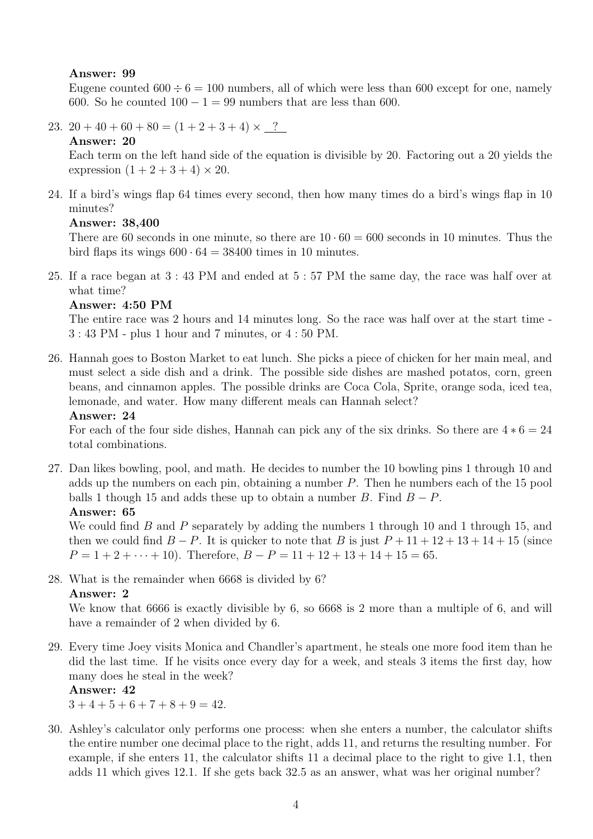#### Answer: 99

Eugene counted  $600 \div 6 = 100$  numbers, all of which were less than 600 except for one, namely 600. So he counted  $100 - 1 = 99$  numbers that are less than 600.

23.  $20 + 40 + 60 + 80 = (1 + 2 + 3 + 4) \times$  ?

### Answer: 20

Each term on the left hand side of the equation is divisible by 20. Factoring out a 20 yields the expression  $(1 + 2 + 3 + 4) \times 20$ .

24. If a bird's wings flap 64 times every second, then how many times do a bird's wings flap in 10 minutes?

#### Answer: 38,400

There are 60 seconds in one minute, so there are  $10 \cdot 60 = 600$  seconds in 10 minutes. Thus the bird flaps its wings  $600 \cdot 64 = 38400$  times in 10 minutes.

25. If a race began at 3 : 43 PM and ended at 5 : 57 PM the same day, the race was half over at what time?

#### Answer: 4:50 PM

The entire race was 2 hours and 14 minutes long. So the race was half over at the start time - 3 : 43 PM - plus 1 hour and 7 minutes, or 4 : 50 PM.

26. Hannah goes to Boston Market to eat lunch. She picks a piece of chicken for her main meal, and must select a side dish and a drink. The possible side dishes are mashed potatos, corn, green beans, and cinnamon apples. The possible drinks are Coca Cola, Sprite, orange soda, iced tea, lemonade, and water. How many different meals can Hannah select?

#### Answer: 24

For each of the four side dishes, Hannah can pick any of the six drinks. So there are  $4 * 6 = 24$ total combinations.

27. Dan likes bowling, pool, and math. He decides to number the 10 bowling pins 1 through 10 and adds up the numbers on each pin, obtaining a number  $P$ . Then he numbers each of the 15 pool balls 1 though 15 and adds these up to obtain a number B. Find  $B - P$ . Answer: 65

We could find  $B$  and  $P$  separately by adding the numbers 1 through 10 and 1 through 15, and then we could find  $B - P$ . It is quicker to note that B is just  $P + 11 + 12 + 13 + 14 + 15$  (since  $P = 1 + 2 + \cdots + 10$ . Therefore,  $B - P = 11 + 12 + 13 + 14 + 15 = 65$ .

28. What is the remainder when 6668 is divided by 6?

#### Answer: 2

We know that 6666 is exactly divisible by 6, so 6668 is 2 more than a multiple of 6, and will have a remainder of 2 when divided by 6.

29. Every time Joey visits Monica and Chandler's apartment, he steals one more food item than he did the last time. If he visits once every day for a week, and steals 3 items the first day, how many does he steal in the week?

#### Answer: 42

 $3+4+5+6+7+8+9=42.$ 

30. Ashley's calculator only performs one process: when she enters a number, the calculator shifts the entire number one decimal place to the right, adds 11, and returns the resulting number. For example, if she enters 11, the calculator shifts 11 a decimal place to the right to give 1.1, then adds 11 which gives 12.1. If she gets back 32.5 as an answer, what was her original number?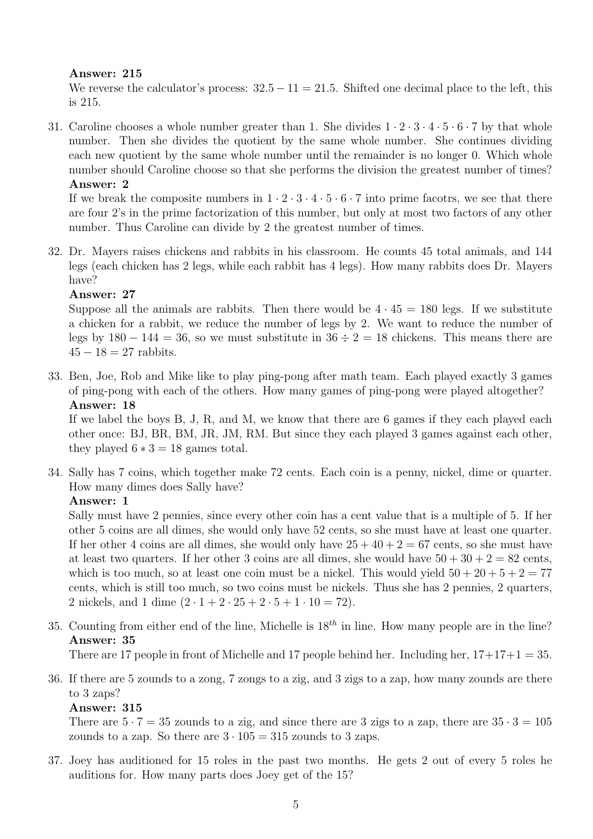#### Answer: 215

We reverse the calculator's process:  $32.5 - 11 = 21.5$ . Shifted one decimal place to the left, this is 215.

31. Caroline chooses a whole number greater than 1. She divides  $1 \cdot 2 \cdot 3 \cdot 4 \cdot 5 \cdot 6 \cdot 7$  by that whole number. Then she divides the quotient by the same whole number. She continues dividing each new quotient by the same whole number until the remainder is no longer 0. Which whole number should Caroline choose so that she performs the division the greatest number of times?

Answer: 2

If we break the composite numbers in  $1 \cdot 2 \cdot 3 \cdot 4 \cdot 5 \cdot 6 \cdot 7$  into prime facotrs, we see that there are four 2's in the prime factorization of this number, but only at most two factors of any other number. Thus Caroline can divide by 2 the greatest number of times.

32. Dr. Mayers raises chickens and rabbits in his classroom. He counts 45 total animals, and 144 legs (each chicken has 2 legs, while each rabbit has 4 legs). How many rabbits does Dr. Mayers have?

#### Answer: 27

Suppose all the animals are rabbits. Then there would be  $4 \cdot 45 = 180$  legs. If we substitute a chicken for a rabbit, we reduce the number of legs by 2. We want to reduce the number of legs by  $180 - 144 = 36$ , so we must substitute in  $36 \div 2 = 18$  chickens. This means there are  $45 - 18 = 27$  rabbits.

33. Ben, Joe, Rob and Mike like to play ping-pong after math team. Each played exactly 3 games of ping-pong with each of the others. How many games of ping-pong were played altogether? Answer: 18

If we label the boys B, J, R, and M, we know that there are 6 games if they each played each other once: BJ, BR, BM, JR, JM, RM. But since they each played 3 games against each other, they played  $6 * 3 = 18$  games total.

34. Sally has 7 coins, which together make 72 cents. Each coin is a penny, nickel, dime or quarter. How many dimes does Sally have?

# Answer: 1

Sally must have 2 pennies, since every other coin has a cent value that is a multiple of 5. If her other 5 coins are all dimes, she would only have 52 cents, so she must have at least one quarter. If her other 4 coins are all dimes, she would only have  $25 + 40 + 2 = 67$  cents, so she must have at least two quarters. If her other 3 coins are all dimes, she would have  $50 + 30 + 2 = 82$  cents, which is too much, so at least one coin must be a nickel. This would yield  $50 + 20 + 5 + 2 = 77$ cents, which is still too much, so two coins must be nickels. Thus she has 2 pennies, 2 quarters, 2 nickels, and 1 dime  $(2 \cdot 1 + 2 \cdot 25 + 2 \cdot 5 + 1 \cdot 10 = 72)$ .

35. Counting from either end of the line, Michelle is  $18^{th}$  in line. How many people are in the line? Answer: 35

There are 17 people in front of Michelle and 17 people behind her. Including her,  $17+17+1=35$ .

36. If there are 5 zounds to a zong, 7 zongs to a zig, and 3 zigs to a zap, how many zounds are there to 3 zaps?

#### Answer: 315

There are  $5 \cdot 7 = 35$  zounds to a zig, and since there are 3 zigs to a zap, there are  $35 \cdot 3 = 105$ zounds to a zap. So there are  $3 \cdot 105 = 315$  zounds to 3 zaps.

37. Joey has auditioned for 15 roles in the past two months. He gets 2 out of every 5 roles he auditions for. How many parts does Joey get of the 15?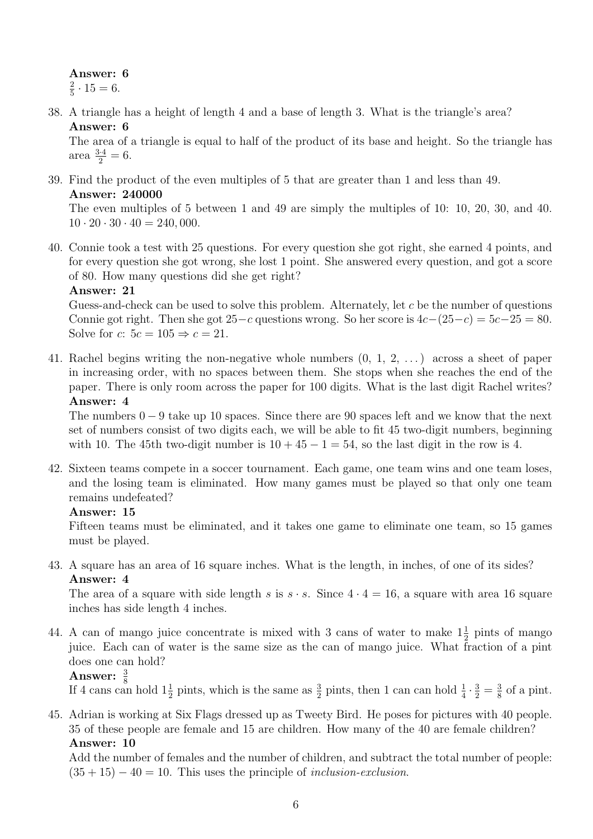Answer: 6 2  $\frac{2}{5} \cdot 15 = 6.$ 

38. A triangle has a height of length 4 and a base of length 3. What is the triangle's area? Answer: 6

The area of a triangle is equal to half of the product of its base and height. So the triangle has area  $\frac{3\cdot 4}{2} = 6$ .

39. Find the product of the even multiples of 5 that are greater than 1 and less than 49. Answer: 240000

The even multiples of 5 between 1 and 49 are simply the multiples of 10: 10, 20, 30, and 40.  $10 \cdot 20 \cdot 30 \cdot 40 = 240,000.$ 

40. Connie took a test with 25 questions. For every question she got right, she earned 4 points, and for every question she got wrong, she lost 1 point. She answered every question, and got a score of 80. How many questions did she get right?

#### Answer: 21

Guess-and-check can be used to solve this problem. Alternately, let c be the number of questions Connie got right. Then she got  $25-c$  questions wrong. So her score is  $4c-(25-c) = 5c-25 = 80$ . Solve for c:  $5c = 105 \Rightarrow c = 21$ .

41. Rachel begins writing the non-negative whole numbers (0, 1, 2, . . . ) across a sheet of paper in increasing order, with no spaces between them. She stops when she reaches the end of the paper. There is only room across the paper for 100 digits. What is the last digit Rachel writes? Answer: 4

The numbers  $0 - 9$  take up 10 spaces. Since there are 90 spaces left and we know that the next set of numbers consist of two digits each, we will be able to fit 45 two-digit numbers, beginning with 10. The 45th two-digit number is  $10 + 45 - 1 = 54$ , so the last digit in the row is 4.

42. Sixteen teams compete in a soccer tournament. Each game, one team wins and one team loses, and the losing team is eliminated. How many games must be played so that only one team remains undefeated?

#### Answer: 15

Fifteen teams must be eliminated, and it takes one game to eliminate one team, so 15 games must be played.

43. A square has an area of 16 square inches. What is the length, in inches, of one of its sides? Answer: 4

The area of a square with side length s is  $s \cdot s$ . Since  $4 \cdot 4 = 16$ , a square with area 16 square inches has side length 4 inches.

44. A can of mango juice concentrate is mixed with 3 cans of water to make  $1\frac{1}{2}$  pints of mango juice. Each can of water is the same size as the can of mango juice. What fraction of a pint does one can hold?

# Answer:  $\frac{3}{8}$

If 4 cans can hold  $1\frac{1}{2}$  pints, which is the same as  $\frac{3}{2}$  pints, then 1 can can hold  $\frac{1}{4} \cdot \frac{3}{2} = \frac{3}{8}$  $\frac{3}{8}$  of a pint.

45. Adrian is working at Six Flags dressed up as Tweety Bird. He poses for pictures with 40 people. 35 of these people are female and 15 are children. How many of the 40 are female children? Answer: 10

Add the number of females and the number of children, and subtract the total number of people:  $(35 + 15) - 40 = 10$ . This uses the principle of *inclusion-exclusion*.